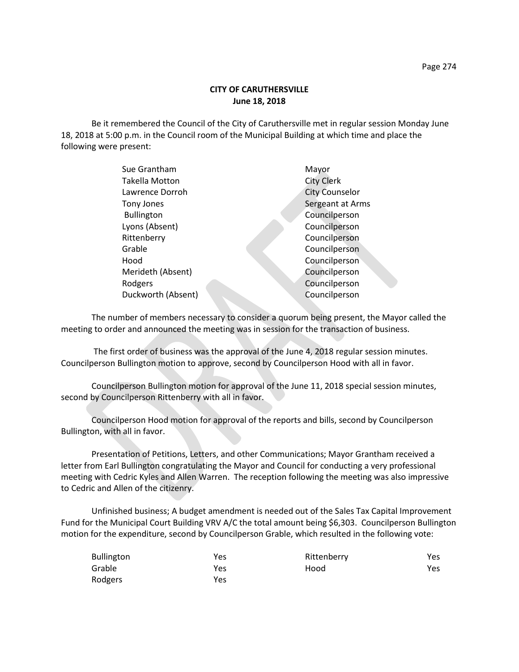## **CITY OF CARUTHERSVILLE June 18, 2018**

Be it remembered the Council of the City of Caruthersville met in regular session Monday June 18, 2018 at 5:00 p.m. in the Council room of the Municipal Building at which time and place the following were present:

| Sue Grantham          | Mayor                 |
|-----------------------|-----------------------|
| <b>Takella Motton</b> | <b>City Clerk</b>     |
| Lawrence Dorroh       | <b>City Counselor</b> |
| <b>Tony Jones</b>     | Sergeant at Arms      |
| <b>Bullington</b>     | Councilperson         |
| Lyons (Absent)        | Councilperson         |
| Rittenberry           | Councilperson         |
| Grable                | Councilperson         |
| Hood                  | Councilperson         |
| Merideth (Absent)     | Councilperson         |
| Rodgers               | Councilperson         |
| Duckworth (Absent)    | Councilperson         |
|                       |                       |

The number of members necessary to consider a quorum being present, the Mayor called the meeting to order and announced the meeting was in session for the transaction of business.

The first order of business was the approval of the June 4, 2018 regular session minutes. Councilperson Bullington motion to approve, second by Councilperson Hood with all in favor.

Councilperson Bullington motion for approval of the June 11, 2018 special session minutes, second by Councilperson Rittenberry with all in favor.

Councilperson Hood motion for approval of the reports and bills, second by Councilperson Bullington, with all in favor.

Presentation of Petitions, Letters, and other Communications; Mayor Grantham received a letter from Earl Bullington congratulating the Mayor and Council for conducting a very professional meeting with Cedric Kyles and Allen Warren. The reception following the meeting was also impressive to Cedric and Allen of the citizenry.

Unfinished business; A budget amendment is needed out of the Sales Tax Capital Improvement Fund for the Municipal Court Building VRV A/C the total amount being \$6,303. Councilperson Bullington motion for the expenditure, second by Councilperson Grable, which resulted in the following vote:

| <b>Bullington</b> | Yes | Rittenberry | Yes |
|-------------------|-----|-------------|-----|
| Grable            | Yes | Hood        | Yes |
| Rodgers           | Yes |             |     |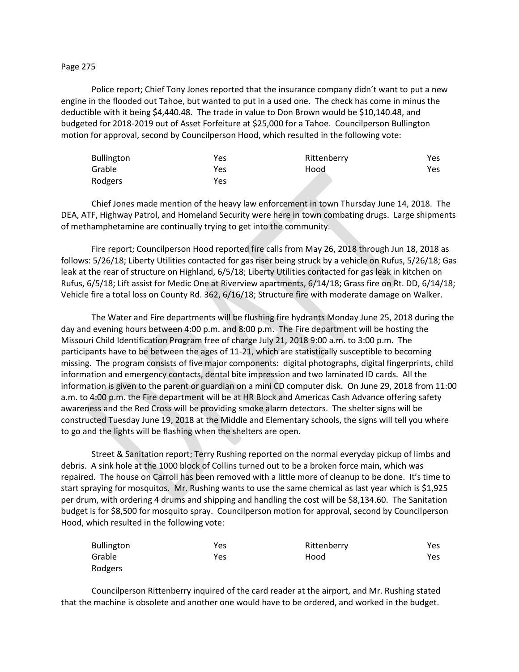## Page 275

Police report; Chief Tony Jones reported that the insurance company didn't want to put a new engine in the flooded out Tahoe, but wanted to put in a used one. The check has come in minus the deductible with it being \$4,440.48. The trade in value to Don Brown would be \$10,140.48, and budgeted for 2018-2019 out of Asset Forfeiture at \$25,000 for a Tahoe. Councilperson Bullington motion for approval, second by Councilperson Hood, which resulted in the following vote:

| <b>Bullington</b> | Yes | Rittenberry | Yes |
|-------------------|-----|-------------|-----|
| Grable            | Yes | Hood        | Yes |
| Rodgers           | Yes |             |     |

Chief Jones made mention of the heavy law enforcement in town Thursday June 14, 2018. The DEA, ATF, Highway Patrol, and Homeland Security were here in town combating drugs. Large shipments of methamphetamine are continually trying to get into the community.

Fire report; Councilperson Hood reported fire calls from May 26, 2018 through Jun 18, 2018 as follows: 5/26/18; Liberty Utilities contacted for gas riser being struck by a vehicle on Rufus, 5/26/18; Gas leak at the rear of structure on Highland, 6/5/18; Liberty Utilities contacted for gas leak in kitchen on Rufus, 6/5/18; Lift assist for Medic One at Riverview apartments, 6/14/18; Grass fire on Rt. DD, 6/14/18; Vehicle fire a total loss on County Rd. 362, 6/16/18; Structure fire with moderate damage on Walker.

The Water and Fire departments will be flushing fire hydrants Monday June 25, 2018 during the day and evening hours between 4:00 p.m. and 8:00 p.m. The Fire department will be hosting the Missouri Child Identification Program free of charge July 21, 2018 9:00 a.m. to 3:00 p.m. The participants have to be between the ages of 11-21, which are statistically susceptible to becoming missing. The program consists of five major components: digital photographs, digital fingerprints, child information and emergency contacts, dental bite impression and two laminated ID cards. All the information is given to the parent or guardian on a mini CD computer disk. On June 29, 2018 from 11:00 a.m. to 4:00 p.m. the Fire department will be at HR Block and Americas Cash Advance offering safety awareness and the Red Cross will be providing smoke alarm detectors. The shelter signs will be constructed Tuesday June 19, 2018 at the Middle and Elementary schools, the signs will tell you where to go and the lights will be flashing when the shelters are open.

Street & Sanitation report; Terry Rushing reported on the normal everyday pickup of limbs and debris. A sink hole at the 1000 block of Collins turned out to be a broken force main, which was repaired. The house on Carroll has been removed with a little more of cleanup to be done. It's time to start spraying for mosquitos. Mr. Rushing wants to use the same chemical as last year which is \$1,925 per drum, with ordering 4 drums and shipping and handling the cost will be \$8,134.60. The Sanitation budget is for \$8,500 for mosquito spray. Councilperson motion for approval, second by Councilperson Hood, which resulted in the following vote:

| <b>Bullington</b> | Yes | Rittenberry | Yes |
|-------------------|-----|-------------|-----|
| Grable            | Yes | Hood        | Yes |
| Rodgers           |     |             |     |

Councilperson Rittenberry inquired of the card reader at the airport, and Mr. Rushing stated that the machine is obsolete and another one would have to be ordered, and worked in the budget.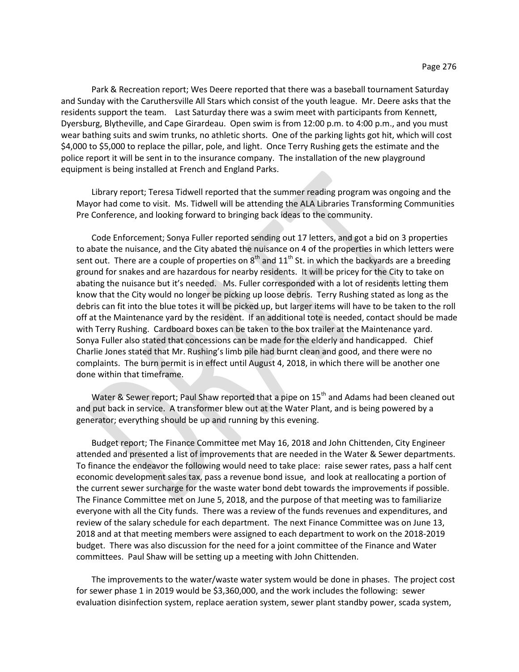Park & Recreation report; Wes Deere reported that there was a baseball tournament Saturday and Sunday with the Caruthersville All Stars which consist of the youth league. Mr. Deere asks that the residents support the team. Last Saturday there was a swim meet with participants from Kennett, Dyersburg, Blytheville, and Cape Girardeau. Open swim is from 12:00 p.m. to 4:00 p.m., and you must wear bathing suits and swim trunks, no athletic shorts. One of the parking lights got hit, which will cost \$4,000 to \$5,000 to replace the pillar, pole, and light. Once Terry Rushing gets the estimate and the police report it will be sent in to the insurance company. The installation of the new playground equipment is being installed at French and England Parks.

Library report; Teresa Tidwell reported that the summer reading program was ongoing and the Mayor had come to visit. Ms. Tidwell will be attending the ALA Libraries Transforming Communities Pre Conference, and looking forward to bringing back ideas to the community.

Code Enforcement; Sonya Fuller reported sending out 17 letters, and got a bid on 3 properties to abate the nuisance, and the City abated the nuisance on 4 of the properties in which letters were sent out. There are a couple of properties on  $8<sup>th</sup>$  and  $11<sup>th</sup>$  St. in which the backyards are a breeding ground for snakes and are hazardous for nearby residents. It will be pricey for the City to take on abating the nuisance but it's needed. Ms. Fuller corresponded with a lot of residents letting them know that the City would no longer be picking up loose debris. Terry Rushing stated as long as the debris can fit into the blue totes it will be picked up, but larger items will have to be taken to the roll off at the Maintenance yard by the resident. If an additional tote is needed, contact should be made with Terry Rushing. Cardboard boxes can be taken to the box trailer at the Maintenance yard. Sonya Fuller also stated that concessions can be made for the elderly and handicapped. Chief Charlie Jones stated that Mr. Rushing's limb pile had burnt clean and good, and there were no complaints. The burn permit is in effect until August 4, 2018, in which there will be another one done within that timeframe.

Water & Sewer report; Paul Shaw reported that a pipe on 15<sup>th</sup> and Adams had been cleaned out and put back in service. A transformer blew out at the Water Plant, and is being powered by a generator; everything should be up and running by this evening.

Budget report; The Finance Committee met May 16, 2018 and John Chittenden, City Engineer attended and presented a list of improvements that are needed in the Water & Sewer departments. To finance the endeavor the following would need to take place: raise sewer rates, pass a half cent economic development sales tax, pass a revenue bond issue, and look at reallocating a portion of the current sewer surcharge for the waste water bond debt towards the improvements if possible. The Finance Committee met on June 5, 2018, and the purpose of that meeting was to familiarize everyone with all the City funds. There was a review of the funds revenues and expenditures, and review of the salary schedule for each department. The next Finance Committee was on June 13, 2018 and at that meeting members were assigned to each department to work on the 2018-2019 budget. There was also discussion for the need for a joint committee of the Finance and Water committees. Paul Shaw will be setting up a meeting with John Chittenden.

The improvements to the water/waste water system would be done in phases. The project cost for sewer phase 1 in 2019 would be \$3,360,000, and the work includes the following: sewer evaluation disinfection system, replace aeration system, sewer plant standby power, scada system,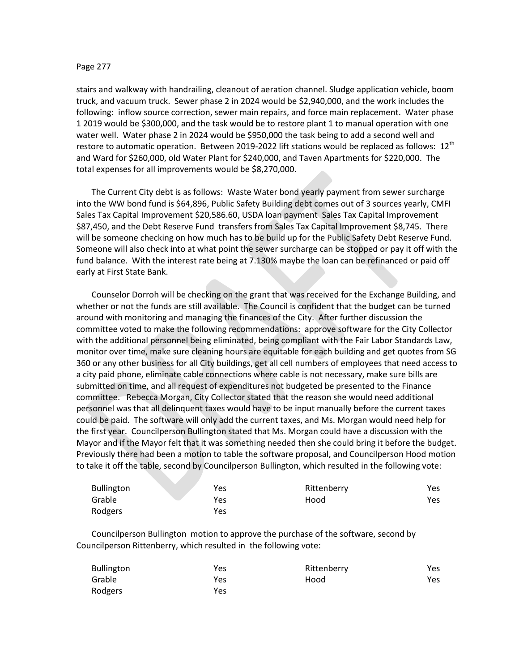## Page 277

stairs and walkway with handrailing, cleanout of aeration channel. Sludge application vehicle, boom truck, and vacuum truck. Sewer phase 2 in 2024 would be \$2,940,000, and the work includes the following: inflow source correction, sewer main repairs, and force main replacement. Water phase 1 2019 would be \$300,000, and the task would be to restore plant 1 to manual operation with one water well. Water phase 2 in 2024 would be \$950,000 the task being to add a second well and restore to automatic operation. Between 2019-2022 lift stations would be replaced as follows: 12<sup>th</sup> and Ward for \$260,000, old Water Plant for \$240,000, and Taven Apartments for \$220,000. The total expenses for all improvements would be \$8,270,000.

The Current City debt is as follows: Waste Water bond yearly payment from sewer surcharge into the WW bond fund is \$64,896, Public Safety Building debt comes out of 3 sources yearly, CMFI Sales Tax Capital Improvement \$20,586.60, USDA loan payment Sales Tax Capital Improvement \$87,450, and the Debt Reserve Fund transfers from Sales Tax Capital Improvement \$8,745. There will be someone checking on how much has to be build up for the Public Safety Debt Reserve Fund. Someone will also check into at what point the sewer surcharge can be stopped or pay it off with the fund balance. With the interest rate being at 7.130% maybe the loan can be refinanced or paid off early at First State Bank.

Counselor Dorroh will be checking on the grant that was received for the Exchange Building, and whether or not the funds are still available. The Council is confident that the budget can be turned around with monitoring and managing the finances of the City. After further discussion the committee voted to make the following recommendations: approve software for the City Collector with the additional personnel being eliminated, being compliant with the Fair Labor Standards Law, monitor over time, make sure cleaning hours are equitable for each building and get quotes from SG 360 or any other business for all City buildings, get all cell numbers of employees that need access to a city paid phone, eliminate cable connections where cable is not necessary, make sure bills are submitted on time, and all request of expenditures not budgeted be presented to the Finance committee. Rebecca Morgan, City Collector stated that the reason she would need additional personnel was that all delinquent taxes would have to be input manually before the current taxes could be paid. The software will only add the current taxes, and Ms. Morgan would need help for the first year. Councilperson Bullington stated that Ms. Morgan could have a discussion with the Mayor and if the Mayor felt that it was something needed then she could bring it before the budget. Previously there had been a motion to table the software proposal, and Councilperson Hood motion to take it off the table, second by Councilperson Bullington, which resulted in the following vote:

| <b>Bullington</b> | Yes | Rittenberry | Yes  |
|-------------------|-----|-------------|------|
| Grable            | Yes | Hood        | Yes. |
| Rodgers           | Yes |             |      |

Councilperson Bullington motion to approve the purchase of the software, second by Councilperson Rittenberry, which resulted in the following vote:

| <b>Bullington</b> | Yes | Rittenberry | Yes |
|-------------------|-----|-------------|-----|
| Grable            | Yes | Hood        | Yes |
| Rodgers           | Yes |             |     |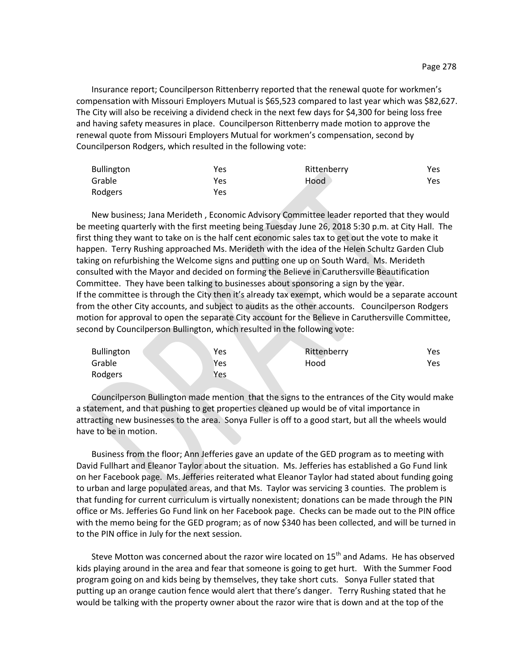Insurance report; Councilperson Rittenberry reported that the renewal quote for workmen's compensation with Missouri Employers Mutual is \$65,523 compared to last year which was \$82,627. The City will also be receiving a dividend check in the next few days for \$4,300 for being loss free and having safety measures in place. Councilperson Rittenberry made motion to approve the renewal quote from Missouri Employers Mutual for workmen's compensation, second by Councilperson Rodgers, which resulted in the following vote:

| <b>Bullington</b> | Yes | Rittenberry | Yes |
|-------------------|-----|-------------|-----|
| Grable            | Yes | Hood        | Yes |
| Rodgers           | Yes |             |     |

New business; Jana Merideth , Economic Advisory Committee leader reported that they would be meeting quarterly with the first meeting being Tuesday June 26, 2018 5:30 p.m. at City Hall. The first thing they want to take on is the half cent economic sales tax to get out the vote to make it happen. Terry Rushing approached Ms. Merideth with the idea of the Helen Schultz Garden Club taking on refurbishing the Welcome signs and putting one up on South Ward. Ms. Merideth consulted with the Mayor and decided on forming the Believe in Caruthersville Beautification Committee. They have been talking to businesses about sponsoring a sign by the year. If the committee is through the City then it's already tax exempt, which would be a separate account from the other City accounts, and subject to audits as the other accounts. Councilperson Rodgers motion for approval to open the separate City account for the Believe in Caruthersville Committee, second by Councilperson Bullington, which resulted in the following vote:

| <b>Bullington</b> | Yes | Rittenberry | Yes |
|-------------------|-----|-------------|-----|
| Grable            | Yes | Hood        | Yes |
| Rodgers           | Yes |             |     |

Councilperson Bullington made mention that the signs to the entrances of the City would make a statement, and that pushing to get properties cleaned up would be of vital importance in attracting new businesses to the area. Sonya Fuller is off to a good start, but all the wheels would have to be in motion.

Business from the floor; Ann Jefferies gave an update of the GED program as to meeting with David Fullhart and Eleanor Taylor about the situation. Ms. Jefferies has established a Go Fund link on her Facebook page. Ms. Jefferies reiterated what Eleanor Taylor had stated about funding going to urban and large populated areas, and that Ms. Taylor was servicing 3 counties. The problem is that funding for current curriculum is virtually nonexistent; donations can be made through the PIN office or Ms. Jefferies Go Fund link on her Facebook page. Checks can be made out to the PIN office with the memo being for the GED program; as of now \$340 has been collected, and will be turned in to the PIN office in July for the next session.

Steve Motton was concerned about the razor wire located on 15<sup>th</sup> and Adams. He has observed kids playing around in the area and fear that someone is going to get hurt. With the Summer Food program going on and kids being by themselves, they take short cuts. Sonya Fuller stated that putting up an orange caution fence would alert that there's danger. Terry Rushing stated that he would be talking with the property owner about the razor wire that is down and at the top of the